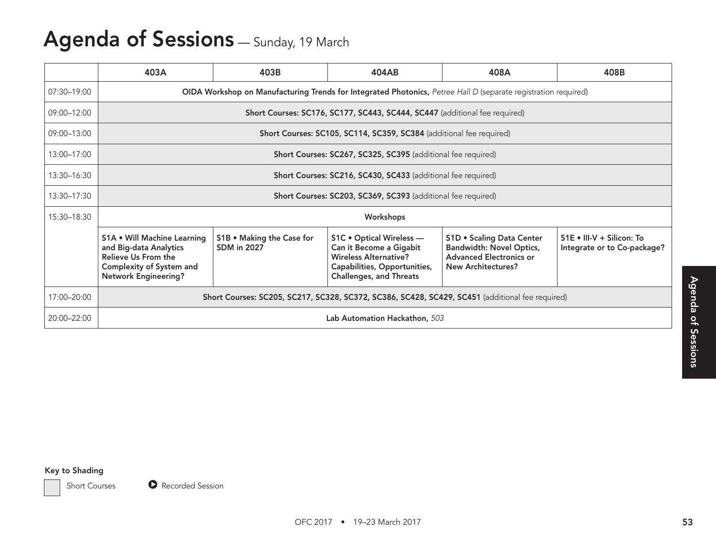# Agenda of Sessions - Sunday, 19 March

|                                        | 403A                                                                                                                                           | 403B                                                                                                           | 404AB                                                                                                                                                 | 408A                                                                                                                        | 408B                                                     |  |  |  |  |  |
|----------------------------------------|------------------------------------------------------------------------------------------------------------------------------------------------|----------------------------------------------------------------------------------------------------------------|-------------------------------------------------------------------------------------------------------------------------------------------------------|-----------------------------------------------------------------------------------------------------------------------------|----------------------------------------------------------|--|--|--|--|--|
| 07:30-19:00                            |                                                                                                                                                | OIDA Workshop on Manufacturing Trends for Integrated Photonics, Petree Hall D (separate registration required) |                                                                                                                                                       |                                                                                                                             |                                                          |  |  |  |  |  |
| 09:00-12:00                            |                                                                                                                                                |                                                                                                                | Short Courses: SC176, SC177, SC443, SC444, SC447 (additional fee required)                                                                            |                                                                                                                             |                                                          |  |  |  |  |  |
| 09:00-13:00                            |                                                                                                                                                |                                                                                                                | Short Courses: SC105, SC114, SC359, SC384 (additional fee required)                                                                                   |                                                                                                                             |                                                          |  |  |  |  |  |
| 13:00-17:00                            |                                                                                                                                                |                                                                                                                | Short Courses: SC267, SC325, SC395 (additional fee required)                                                                                          |                                                                                                                             |                                                          |  |  |  |  |  |
| 13:30-16:30                            |                                                                                                                                                |                                                                                                                | Short Courses: SC216, SC430, SC433 (additional fee required)                                                                                          |                                                                                                                             |                                                          |  |  |  |  |  |
| 13:30-17:30                            |                                                                                                                                                |                                                                                                                | Short Courses: SC203, SC369, SC393 (additional fee required)                                                                                          |                                                                                                                             |                                                          |  |  |  |  |  |
| 15:30-18:30                            | Workshops                                                                                                                                      |                                                                                                                |                                                                                                                                                       |                                                                                                                             |                                                          |  |  |  |  |  |
|                                        | <b>S1A . Will Machine Learning</b><br>and Big-data Analytics<br>Relieve Us From the<br>Complexity of System and<br><b>Network Engineering?</b> | S1B . Making the Case for<br><b>SDM</b> in 2027                                                                | S1C . Optical Wireless -<br>Can it Become a Gigabit<br><b>Wireless Alternative?</b><br>Capabilities, Opportunities,<br><b>Challenges, and Threats</b> | <b>S1D . Scaling Data Center</b><br>Bandwidth: Novel Optics,<br><b>Advanced Electronics or</b><br><b>New Architectures?</b> | S1E . III-V + Silicon: To<br>Integrate or to Co-package? |  |  |  |  |  |
| 17:00-20:00                            |                                                                                                                                                | Short Courses: SC205, SC217, SC328, SC372, SC386, SC428, SC429, SC451 (additional fee required)                |                                                                                                                                                       |                                                                                                                             |                                                          |  |  |  |  |  |
| 20:00-22:00                            |                                                                                                                                                |                                                                                                                | Lab Automation Hackathon, 503                                                                                                                         |                                                                                                                             |                                                          |  |  |  |  |  |
|                                        |                                                                                                                                                |                                                                                                                |                                                                                                                                                       |                                                                                                                             |                                                          |  |  |  |  |  |
| Key to Shading<br><b>Short Courses</b> | Recorded Session                                                                                                                               |                                                                                                                |                                                                                                                                                       |                                                                                                                             |                                                          |  |  |  |  |  |
|                                        |                                                                                                                                                |                                                                                                                | OFC 2017 • 19-23 March 2017                                                                                                                           |                                                                                                                             |                                                          |  |  |  |  |  |

#### Key to Shading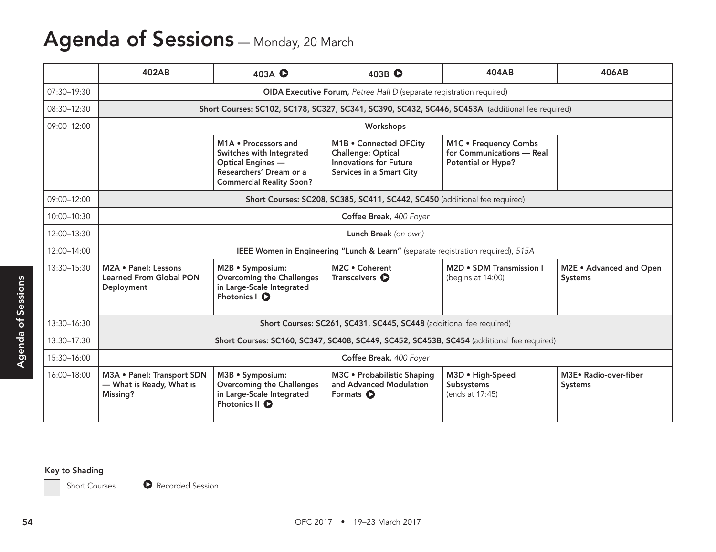# Agenda of Sessions - Monday, 20 March

#### Key to Shading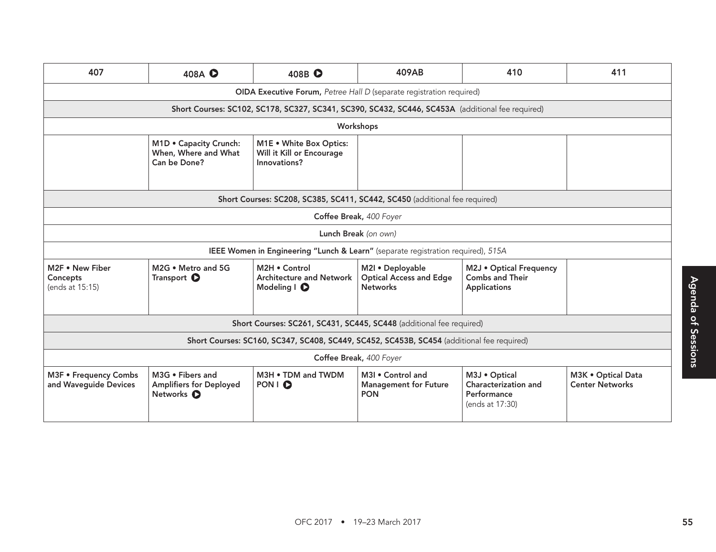|                                                | 407<br>408A <b>O</b>                                                             | 408B <b>O</b>                                                                                    | 409AB                                                          | 410                                                        | 411                |  |  |
|------------------------------------------------|----------------------------------------------------------------------------------|--------------------------------------------------------------------------------------------------|----------------------------------------------------------------|------------------------------------------------------------|--------------------|--|--|
|                                                |                                                                                  | OIDA Executive Forum, Petree Hall D (separate registration required)                             |                                                                |                                                            |                    |  |  |
|                                                |                                                                                  | Short Courses: SC102, SC178, SC327, SC341, SC390, SC432, SC446, SC453A (additional fee required) |                                                                |                                                            |                    |  |  |
|                                                |                                                                                  | Workshops                                                                                        |                                                                |                                                            |                    |  |  |
|                                                | M1D . Capacity Crunch:<br>When, Where and What<br>Can be Done?                   | M1E . White Box Optics:<br>Will it Kill or Encourage<br>Innovations?                             |                                                                |                                                            |                    |  |  |
|                                                |                                                                                  | Short Courses: SC208, SC385, SC411, SC442, SC450 (additional fee required)                       |                                                                |                                                            |                    |  |  |
|                                                |                                                                                  | Coffee Break, 400 Foyer                                                                          |                                                                |                                                            |                    |  |  |
|                                                |                                                                                  | Lunch Break (on own)                                                                             |                                                                |                                                            |                    |  |  |
|                                                | IEEE Women in Engineering "Lunch & Learn" (separate registration required), 515A |                                                                                                  |                                                                |                                                            |                    |  |  |
| M2F . New Fiber<br>Concepts<br>(ends at 15:15) | M2G . Metro and 5G<br>Transport <b>O</b>                                         | M2H . Control<br><b>Architecture and Network</b><br>Modeling I <b>O</b>                          | M2I . Deployable<br><b>Optical Access and Edge</b><br>Networks | M2J . Optical Frequency<br>Combs and Their<br>Applications |                    |  |  |
|                                                |                                                                                  | Short Courses: SC261, SC431, SC445, SC448 (additional fee required)                              |                                                                |                                                            |                    |  |  |
|                                                |                                                                                  | Short Courses: SC160, SC347, SC408, SC449, SC452, SC453B, SC454 (additional fee required)        |                                                                |                                                            |                    |  |  |
|                                                |                                                                                  |                                                                                                  | Coffee Break, 400 Foyer                                        |                                                            |                    |  |  |
|                                                | M3G . Fibers and<br>M3F . Frequency Combs                                        | M3H . TDM and TWDM                                                                               | M3I . Control and                                              | M3J · Optical                                              | M3K . Optical Data |  |  |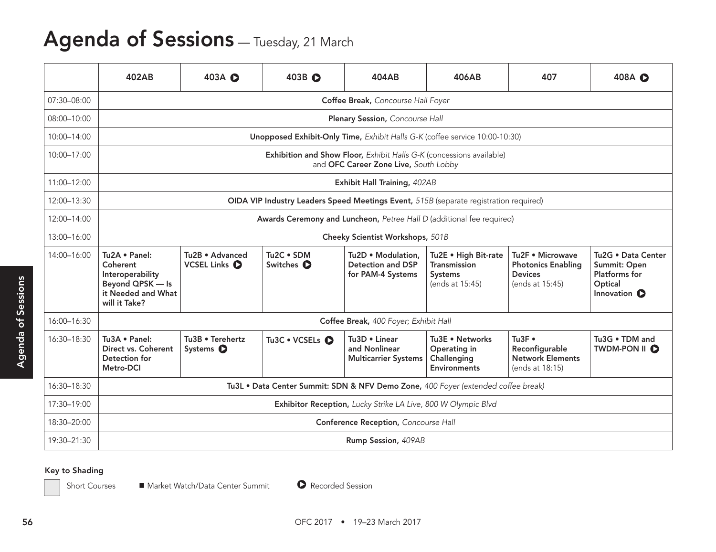# Agenda of Sessions - Tuesday, 21 March

|                               | 402AB                                                                                                    | 403A <b>O</b>                                                 | 403B <b>O</b>                                                                         | 404AB                                                               | 406AB                                                                     | 407                                                                                | 408A O                                                                                |  |  |  |
|-------------------------------|----------------------------------------------------------------------------------------------------------|---------------------------------------------------------------|---------------------------------------------------------------------------------------|---------------------------------------------------------------------|---------------------------------------------------------------------------|------------------------------------------------------------------------------------|---------------------------------------------------------------------------------------|--|--|--|
| 07:30-08:00                   |                                                                                                          |                                                               |                                                                                       | Coffee Break, Concourse Hall Foyer                                  |                                                                           |                                                                                    |                                                                                       |  |  |  |
| 08:00-10:00                   |                                                                                                          |                                                               |                                                                                       | Plenary Session, Concourse Hall                                     |                                                                           |                                                                                    |                                                                                       |  |  |  |
| 10:00-14:00                   |                                                                                                          |                                                               | Unopposed Exhibit-Only Time, Exhibit Halls G-K (coffee service 10:00-10:30)           |                                                                     |                                                                           |                                                                                    |                                                                                       |  |  |  |
| 10:00-17:00                   |                                                                                                          |                                                               |                                                                                       | and OFC Career Zone Live, South Lobby                               | Exhibition and Show Floor, Exhibit Halls G-K (concessions available)      |                                                                                    |                                                                                       |  |  |  |
| 11:00-12:00                   |                                                                                                          |                                                               |                                                                                       | Exhibit Hall Training, 402AB                                        |                                                                           |                                                                                    |                                                                                       |  |  |  |
| 12:00-13:30                   |                                                                                                          |                                                               | OIDA VIP Industry Leaders Speed Meetings Event, 515B (separate registration required) |                                                                     |                                                                           |                                                                                    |                                                                                       |  |  |  |
| 12:00-14:00                   |                                                                                                          |                                                               | Awards Ceremony and Luncheon, Petree Hall D (additional fee required)                 |                                                                     |                                                                           |                                                                                    |                                                                                       |  |  |  |
| 13:00-16:00                   | Cheeky Scientist Workshops, 501B                                                                         |                                                               |                                                                                       |                                                                     |                                                                           |                                                                                    |                                                                                       |  |  |  |
| 14:00-16:00<br>sions<br>of Se | Tu2A . Panel:<br>Coherent<br>Interoperability<br>Beyond QPSK - Is<br>it Needed and What<br>will it Take? | Tu2B . Advanced<br>VCSEL Links O                              | Tu2C . SDM<br>Switches <b>O</b>                                                       | Tu2D . Modulation,<br><b>Detection and DSP</b><br>for PAM-4 Systems | Tu2E . High Bit-rate<br><b>Transmission</b><br>Systems<br>(ends at 15:45) | Tu2F . Microwave<br><b>Photonics Enabling</b><br><b>Devices</b><br>(ends at 15:45) | Tu2G . Data Center<br>Summit: Open<br>Platforms for<br>Optical<br>Innovation <b>O</b> |  |  |  |
| 16:00-16:30                   |                                                                                                          | Coffee Break, 400 Foyer; Exhibit Hall                         |                                                                                       |                                                                     |                                                                           |                                                                                    |                                                                                       |  |  |  |
| 16:30-18:30                   | Tu3A . Panel:<br>Direct vs. Coherent<br>Detection for<br>Metro-DCI                                       | Tu3B . Terehertz<br>Systems $\bullet$                         | Tu3C . VCSELs O                                                                       | Tu3D . Linear<br>and Nonlinear<br><b>Multicarrier Systems</b>       | Tu3E . Networks<br>Operating in<br>Challenging<br><b>Environments</b>     | Tu3F $\cdot$<br>Reconfigurable<br>Network Elements<br>(ends at 18:15)              | Tu3G . TDM and<br>TWDM-PON II O                                                       |  |  |  |
| 16:30-18:30                   | Tu3L . Data Center Summit: SDN & NFV Demo Zone, 400 Foyer (extended coffee break)                        |                                                               |                                                                                       |                                                                     |                                                                           |                                                                                    |                                                                                       |  |  |  |
| 17:30-19:00                   |                                                                                                          | Exhibitor Reception, Lucky Strike LA Live, 800 W Olympic Blvd |                                                                                       |                                                                     |                                                                           |                                                                                    |                                                                                       |  |  |  |
| 18:30-20:00                   |                                                                                                          | Conference Reception, Concourse Hall                          |                                                                                       |                                                                     |                                                                           |                                                                                    |                                                                                       |  |  |  |
| 19:30-21:30                   | Rump Session, 409AB                                                                                      |                                                               |                                                                                       |                                                                     |                                                                           |                                                                                    |                                                                                       |  |  |  |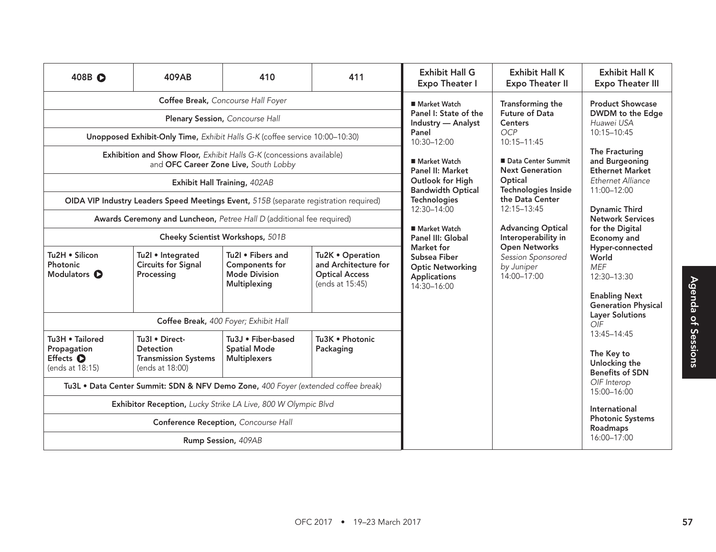| 408B O                                                         | 409AB                                                                                                                                                                                                             | 410                                                                         | 411                                                                                  | <b>Exhibit Hall G</b><br><b>Expo Theater I</b>                                                  | <b>Exhibit Hall K</b><br><b>Expo Theater II</b>                            | <b>Exhibit Hall K</b><br><b>Expo Theater III</b>                      |
|----------------------------------------------------------------|-------------------------------------------------------------------------------------------------------------------------------------------------------------------------------------------------------------------|-----------------------------------------------------------------------------|--------------------------------------------------------------------------------------|-------------------------------------------------------------------------------------------------|----------------------------------------------------------------------------|-----------------------------------------------------------------------|
|                                                                | Coffee Break, Concourse Hall Foyer<br>Plenary Session, Concourse Hall                                                                                                                                             |                                                                             |                                                                                      | ■ Market Watch<br>Panel I: State of the<br>Industry - Analyst                                   | Transforming the<br>Future of Data<br><b>Centers</b>                       | <b>Product Showcase</b><br>DWDM to the Edge<br>Huawei USA             |
|                                                                | Unopposed Exhibit-Only Time, Exhibit Halls G-K (coffee service 10:00-10:30)                                                                                                                                       |                                                                             |                                                                                      | Panel<br>10:30-12:00                                                                            | OCP<br>10:15-11:45                                                         | 10:15-10:45                                                           |
|                                                                | Exhibition and Show Floor, Exhibit Halls G-K (concessions available)<br>and OFC Career Zone Live, South Lobby                                                                                                     |                                                                             |                                                                                      | ■ Market Watch<br>Panel II: Market                                                              | ■ Data Center Summit<br><b>Next Generation</b>                             | The Fracturing<br>and Burgeoning<br><b>Ethernet Market</b>            |
|                                                                | Exhibit Hall Training, 402AB                                                                                                                                                                                      |                                                                             |                                                                                      | Outlook for High<br><b>Bandwidth Optical</b>                                                    | Optical<br>Technologies Inside                                             | Ethernet Alliance<br>11:00-12:00                                      |
|                                                                | OIDA VIP Industry Leaders Speed Meetings Event, 515B (separate registration required)                                                                                                                             |                                                                             |                                                                                      | Technologies<br>12:30-14:00                                                                     | the Data Center<br>12:15-13:45                                             | <b>Dynamic Third</b>                                                  |
|                                                                | Awards Ceremony and Luncheon, Petree Hall D (additional fee required)                                                                                                                                             |                                                                             |                                                                                      | ■ Market Watch                                                                                  | <b>Advancing Optical</b>                                                   | Network Services<br>for the Digital                                   |
|                                                                | Cheeky Scientist Workshops, 501B                                                                                                                                                                                  |                                                                             |                                                                                      | Panel III: Global                                                                               | Interoperability in                                                        | Economy and                                                           |
| Tu2H . Silicon<br>Photonic<br>Modulators <b>O</b>              | Tu2I • Integrated<br><b>Circuits for Signal</b><br>Processing                                                                                                                                                     | Tu2I . Fibers and<br><b>Components for</b><br>Mode Division<br>Multiplexing | Tu2K . Operation<br>and Architecture for<br><b>Optical Access</b><br>(ends at 15:45) | <b>Market for</b><br>Subsea Fiber<br><b>Optic Networking</b><br>Applications<br>$14:30 - 16:00$ | <b>Open Networks</b><br>Session Sponsored<br>by Juniper<br>$14:00 - 17:00$ | Hyper-connected<br>World<br><b>MEF</b><br>12:30-13:30                 |
|                                                                | Coffee Break, 400 Foyer; Exhibit Hall                                                                                                                                                                             |                                                                             |                                                                                      |                                                                                                 |                                                                            | <b>Enabling Next</b><br><b>Generation Physical</b><br>Layer Solutions |
|                                                                |                                                                                                                                                                                                                   |                                                                             | OIF<br>13:45-14:45                                                                   |                                                                                                 |                                                                            |                                                                       |
| Tu3H • Tailored<br>Propagation<br>Effects O<br>(ends at 18:15) | Tu3I . Direct-<br><b>Detection</b><br>Transmission Systems   Multiplexers<br>(ends at 18:00)                                                                                                                      | Tu3J . Fiber-based<br><b>Spatial Mode</b>                                   | Tu3K . Photonic<br>Packaging                                                         |                                                                                                 |                                                                            | The Key to<br>Unlocking the<br><b>Benefits of SDN</b>                 |
|                                                                | Tu3L . Data Center Summit: SDN & NFV Demo Zone, 400 Foyer (extended coffee break)<br>Exhibitor Reception, Lucky Strike LA Live, 800 W Olympic Blvd<br>Conference Reception, Concourse Hall<br>Rump Session, 409AB |                                                                             |                                                                                      |                                                                                                 |                                                                            | OIF Interop<br>15:00-16:00                                            |
|                                                                |                                                                                                                                                                                                                   |                                                                             |                                                                                      |                                                                                                 |                                                                            | International                                                         |
|                                                                |                                                                                                                                                                                                                   |                                                                             |                                                                                      |                                                                                                 |                                                                            | <b>Photonic Systems</b><br>Roadmaps                                   |
|                                                                |                                                                                                                                                                                                                   |                                                                             |                                                                                      |                                                                                                 |                                                                            | 16:00-17:00                                                           |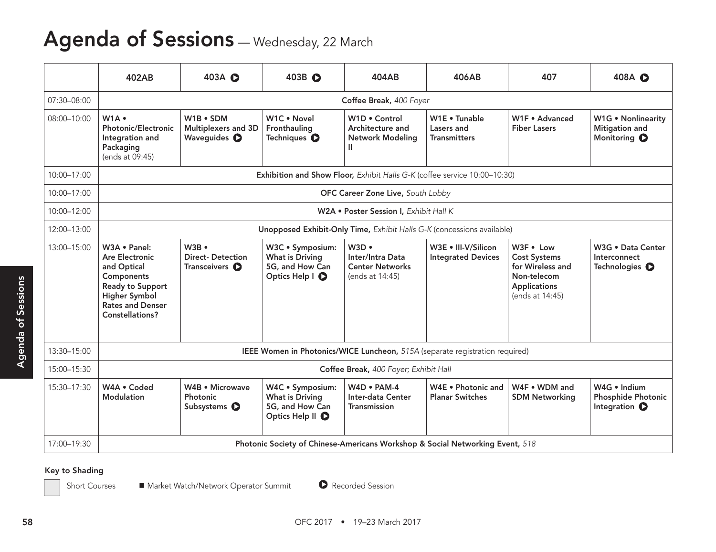## Agenda of Sessions - Wednesday, 22 March

|             | 402AB                                                                                                                                                 | 403A <b>O</b>                                                       | 403B <b>O</b>                                                                     | 404AB                                                                        | 406AB                                                                         | 407                                                                                                    | 408A <b>O</b>                                                      |  |  |
|-------------|-------------------------------------------------------------------------------------------------------------------------------------------------------|---------------------------------------------------------------------|-----------------------------------------------------------------------------------|------------------------------------------------------------------------------|-------------------------------------------------------------------------------|--------------------------------------------------------------------------------------------------------|--------------------------------------------------------------------|--|--|
| 07:30-08:00 |                                                                                                                                                       |                                                                     |                                                                                   | Coffee Break, 400 Foyer                                                      |                                                                               |                                                                                                        |                                                                    |  |  |
| 08:00-10:00 | W1A .<br>Photonic/Electronic<br>Integration and<br>Packaging<br>(ends at 09:45)                                                                       | W1B . SDM<br>Multiplexers and 3D<br>Waveguides <sup>O</sup>         | W1C . Novel<br>Fronthauling<br>Techniques <sup>O</sup>                            | W1D . Control<br>Architecture and<br>Network Modeling                        | W1E . Tunable<br>Lasers and<br>Transmitters                                   | W1F . Advanced<br><b>Fiber Lasers</b>                                                                  | W1G . Nonlinearity<br>Mitigation and<br>Monitoring O               |  |  |
| 10:00-17:00 |                                                                                                                                                       |                                                                     |                                                                                   | Exhibition and Show Floor, Exhibit Halls G-K (coffee service 10:00-10:30)    |                                                                               |                                                                                                        |                                                                    |  |  |
| 10:00-17:00 |                                                                                                                                                       |                                                                     |                                                                                   | OFC Career Zone Live, South Lobby                                            |                                                                               |                                                                                                        |                                                                    |  |  |
| 10:00-12:00 |                                                                                                                                                       |                                                                     |                                                                                   | W2A . Poster Session I, Exhibit Hall K                                       |                                                                               |                                                                                                        |                                                                    |  |  |
| 12:00-13:00 |                                                                                                                                                       |                                                                     |                                                                                   | Unopposed Exhibit-Only Time, Exhibit Halls G-K (concessions available)       |                                                                               |                                                                                                        |                                                                    |  |  |
| 13:00-15:00 | W3A . Panel:<br>Are Electronic<br>and Optical<br>Components<br><b>Ready to Support</b><br>Higher Symbol<br><b>Rates and Denser</b><br>Constellations? | $W3B$ $\bullet$<br><b>Direct-Detection</b><br>Transceivers <b>O</b> | W3C · Symposium:<br>What is Driving<br>5G, and How Can<br>Optics Help   O         | W3D<br>Inter/Intra Data<br><b>Center Networks</b><br>(ends at 14:45)         | W3E . III-V/Silicon<br><b>Integrated Devices</b>                              | W3F . Low<br><b>Cost Systems</b><br>for Wireless and<br>Non-telecom<br>Applications<br>(ends at 14:45) | W3G . Data Center<br>Interconnect<br>Technologies O                |  |  |
| 13:30-15:00 |                                                                                                                                                       |                                                                     |                                                                                   | IEEE Women in Photonics/WICE Luncheon, 515A (separate registration required) |                                                                               |                                                                                                        |                                                                    |  |  |
| 15:00-15:30 |                                                                                                                                                       | Coffee Break, 400 Foyer; Exhibit Hall                               |                                                                                   |                                                                              |                                                                               |                                                                                                        |                                                                    |  |  |
| 15:30-17:30 | W4A . Coded<br>Modulation                                                                                                                             | W4B • Microwave<br>Photonic<br>Subsystems <sup>O</sup>              | W4C · Symposium:<br>What is Driving<br>5G, and How Can<br>Optics Help II <b>O</b> | W4D . PAM-4<br>Inter-data Center<br>Transmission                             | W4E . Photonic and<br><b>Planar Switches</b>                                  | W4F • WDM and<br><b>SDM Networking</b>                                                                 | W4G . Indium<br><b>Phosphide Photonic</b><br>Integration $\bullet$ |  |  |
|             |                                                                                                                                                       |                                                                     |                                                                                   |                                                                              | Photonic Society of Chinese-Americans Workshop & Social Networking Event, 518 |                                                                                                        |                                                                    |  |  |

### Key to Shading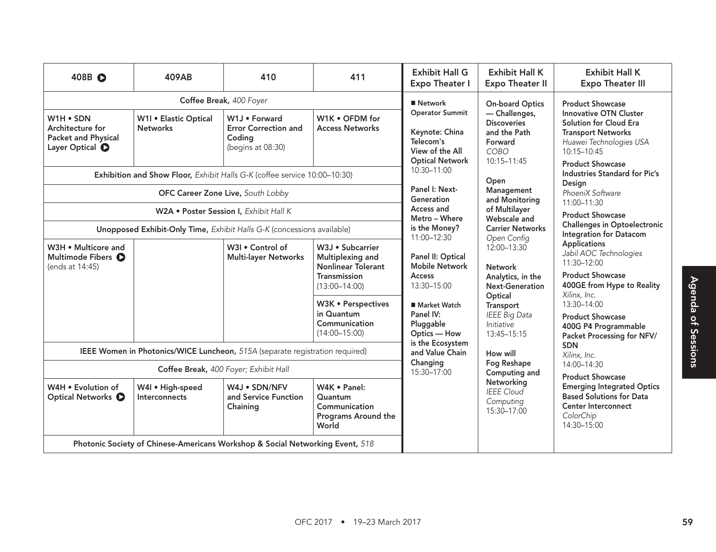| 408B O                                                                             | 409AB                                                                         | 410                                                                                                              | 411                                                                                                                   | <b>Exhibit Hall G</b><br><b>Expo Theater I</b>                                                       | <b>Exhibit Hall K</b><br><b>Expo Theater II</b>                                                           | <b>Exhibit Hall K</b><br><b>Expo Theater III</b>                                                                                                                         |
|------------------------------------------------------------------------------------|-------------------------------------------------------------------------------|------------------------------------------------------------------------------------------------------------------|-----------------------------------------------------------------------------------------------------------------------|------------------------------------------------------------------------------------------------------|-----------------------------------------------------------------------------------------------------------|--------------------------------------------------------------------------------------------------------------------------------------------------------------------------|
|                                                                                    |                                                                               | Coffee Break, 400 Foyer                                                                                          |                                                                                                                       | ■ Network                                                                                            | <b>On-board Optics</b>                                                                                    | <b>Product Showcase</b>                                                                                                                                                  |
| W1H . SDN<br>Architecture for<br>Packet and Physical<br>Layer Optical <sup>O</sup> | W1I . Elastic Optical<br><b>Networks</b>                                      | W1J . Forward<br><b>Error Correction and</b><br>Coding<br>(begins at 08:30)                                      | W1K . OFDM for<br><b>Access Networks</b>                                                                              | <b>Operator Summit</b><br>Keynote: China<br>Telecom's<br>View of the All<br><b>Optical Network</b>   | $-$ Challenges,<br><b>Discoveries</b><br>and the Path<br>Forward<br>COBO<br>10:15-11:45                   | <b>Innovative OTN Cluster</b><br>Solution for Cloud Era<br><b>Transport Networks</b><br>Huawei Technologies USA<br>10:15-10:45<br><b>Product Showcase</b>                |
|                                                                                    |                                                                               | Exhibition and Show Floor, Exhibit Halls G-K (coffee service 10:00-10:30)                                        |                                                                                                                       | 10:30-11:00<br>Panel I: Next-                                                                        | Open                                                                                                      | <b>Industries Standard for Pic's</b><br>Design                                                                                                                           |
|                                                                                    |                                                                               | OFC Career Zone Live, South Lobby                                                                                |                                                                                                                       | Generation<br>Access and                                                                             | Management<br>and Monitoring<br>of Multilayer                                                             | PhoeniX Software<br>11:00-11:30                                                                                                                                          |
|                                                                                    |                                                                               | W2A . Poster Session I, Exhibit Hall K<br>Unopposed Exhibit-Only Time, Exhibit Halls G-K (concessions available) |                                                                                                                       | Metro - Where<br>is the Money?                                                                       | Webscale and<br><b>Carrier Networks</b>                                                                   | <b>Product Showcase</b><br><b>Challenges in Optoelectronic</b>                                                                                                           |
| W3H . Multicore and<br>Multimode Fibers <sup>O</sup><br>(ends at 14:45)            |                                                                               | W3I . Control of<br>Multi-layer Networks                                                                         | W3J · Subcarrier<br>Multiplexing and<br>Nonlinear Tolerant<br>Transmission<br>$(13:00 - 14:00)$<br>W3K · Perspectives | 11:00-12:30<br>Panel II: Optical<br><b>Mobile Network</b><br>Access<br>13:30-15:00<br>■ Market Watch | Open Config<br>$12:00 - 13:30$<br>Network<br>Analytics, in the<br>Next-Generation<br>Optical<br>Transport | Integration for Datacom<br>Applications<br>Jabil AOC Technologies<br>11:30-12:00<br><b>Product Showcase</b><br>400GE from Hype to Reality<br>Xilinx, Inc.<br>13:30-14:00 |
|                                                                                    |                                                                               |                                                                                                                  | in Quantum<br>Communication<br>$(14:00 - 15:00)$                                                                      | Panel IV:<br>Pluggable<br>Optics — How<br>is the Ecosystem                                           | IEEE Big Data<br>Initiative<br>13:45-15:15                                                                | <b>Product Showcase</b><br>400G P4 Programmable<br>Packet Processing for NFV/<br>SDN                                                                                     |
| IEEE Women in Photonics/WICE Luncheon, 515A (separate registration required)       | and Value Chain<br>Changing                                                   | How will<br>Fog Reshape                                                                                          | Xilinx, Inc.<br>14:00-14:30                                                                                           |                                                                                                      |                                                                                                           |                                                                                                                                                                          |
|                                                                                    |                                                                               | Coffee Break, 400 Foyer; Exhibit Hall                                                                            |                                                                                                                       | 15:30-17:00                                                                                          | Computing and<br>Networking                                                                               | <b>Product Showcase</b>                                                                                                                                                  |
| W4H . Evolution of<br>Optical Networks <b>O</b>                                    | W4I . High-speed<br>Interconnects                                             | W4J • SDN/NFV<br>and Service Function<br>Chaining                                                                | W4K • Panel:<br>Quantum<br>Communication<br>Programs Around the<br>World                                              |                                                                                                      | <b>IEEE</b> Cloud<br>Computing<br>15:30-17:00                                                             | <b>Emerging Integrated Optics</b><br><b>Based Solutions for Data</b><br>Center Interconnect<br>ColorChip<br>14:30-15:00                                                  |
|                                                                                    | Photonic Society of Chinese-Americans Workshop & Social Networking Event, 518 |                                                                                                                  |                                                                                                                       |                                                                                                      |                                                                                                           |                                                                                                                                                                          |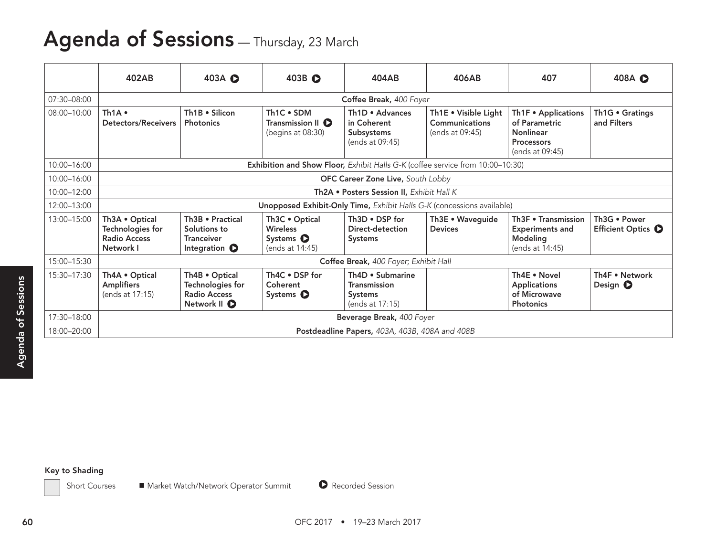## Agenda of Sessions - Thursday, 23 March

### Key to Shading